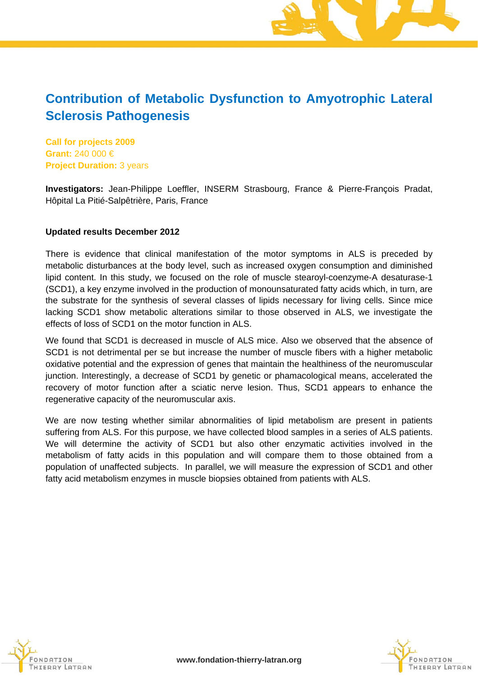# **Contribution of Metabolic Dysfunction to Amyotrophic Lateral Sclerosis Pathogenesis**

**Call for projects 2009 Grant:** 240 000 € **Project Duration:** 3 years

**Investigators:** Jean-Philippe Loeffler, INSERM Strasbourg, France & Pierre-François Pradat, Hôpital La Pitié-Salpêtrière, Paris, France

### **Updated results December 2012**

There is evidence that clinical manifestation of the motor symptoms in ALS is preceded by metabolic disturbances at the body level, such as increased oxygen consumption and diminished lipid content. In this study, we focused on the role of muscle stearoyl-coenzyme-A desaturase-1 (SCD1), a key enzyme involved in the production of monounsaturated fatty acids which, in turn, are the substrate for the synthesis of several classes of lipids necessary for living cells. Since mice lacking SCD1 show metabolic alterations similar to those observed in ALS, we investigate the effects of loss of SCD1 on the motor function in ALS.

We found that SCD1 is decreased in muscle of ALS mice. Also we observed that the absence of SCD1 is not detrimental per se but increase the number of muscle fibers with a higher metabolic oxidative potential and the expression of genes that maintain the healthiness of the neuromuscular junction. Interestingly, a decrease of SCD1 by genetic or phamacological means, accelerated the recovery of motor function after a sciatic nerve lesion. Thus, SCD1 appears to enhance the regenerative capacity of the neuromuscular axis.

We are now testing whether similar abnormalities of lipid metabolism are present in patients suffering from ALS. For this purpose, we have collected blood samples in a series of ALS patients. We will determine the activity of SCD1 but also other enzymatic activities involved in the metabolism of fatty acids in this population and will compare them to those obtained from a population of unaffected subjects. In parallel, we will measure the expression of SCD1 and other fatty acid metabolism enzymes in muscle biopsies obtained from patients with ALS.



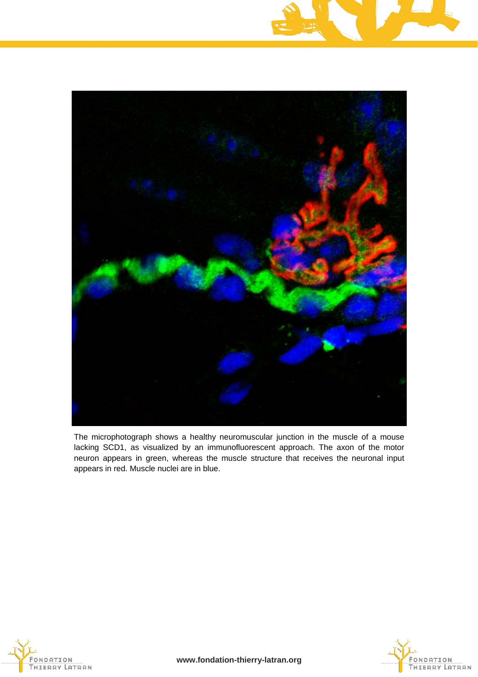



The microphotograph shows a healthy neuromuscular junction in the muscle of a mouse lacking SCD1, as visualized by an immunofluorescent approach. The axon of the motor neuron appears in green, whereas the muscle structure that receives the neuronal input appears in red. Muscle nuclei are in blue.





**www.fondation-thierry-latran.org**